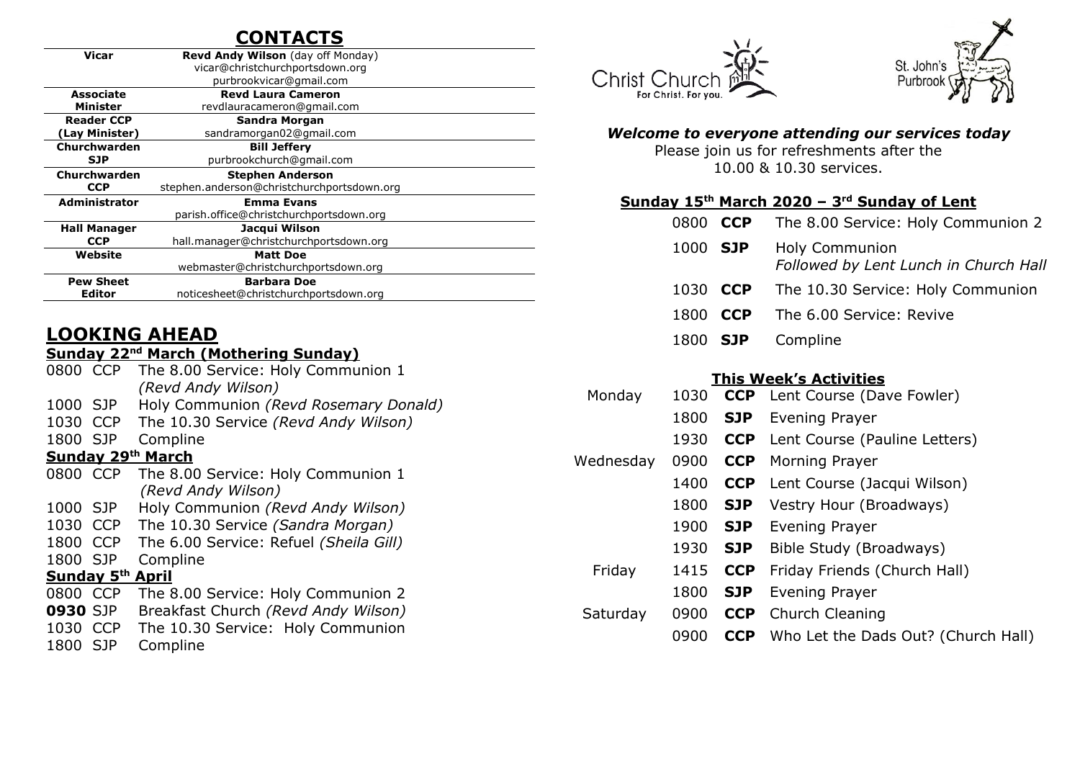# **CONTACTS**

| <b>Revd Andy Wilson</b> (day off Monday)   |
|--------------------------------------------|
|                                            |
| vicar@christchurchportsdown.org            |
| purbrookvicar@gmail.com                    |
| <b>Revd Laura Cameron</b>                  |
| revdlauracameron@gmail.com                 |
| Sandra Morgan                              |
| sandramorgan02@gmail.com                   |
| <b>Bill Jeffery</b>                        |
| purbrookchurch@gmail.com                   |
| <b>Stephen Anderson</b>                    |
| stephen.anderson@christchurchportsdown.org |
| <b>Emma Evans</b>                          |
| parish.office@christchurchportsdown.org    |
| Jacqui Wilson                              |
| hall.manager@christchurchportsdown.org     |
| <b>Matt Doe</b>                            |
| webmaster@christchurchportsdown.org        |
| <b>Barbara Doe</b>                         |
| noticesheet@christchurchportsdown.org      |
|                                            |

# **LOOKING AHEAD**

### **Sunday 22nd March (Mothering Sunday)**

| 0800 CCP                           |  | The 8.00 Service: Holy Communion 1     |  |  |  |  |  |
|------------------------------------|--|----------------------------------------|--|--|--|--|--|
|                                    |  | (Revd Andy Wilson)                     |  |  |  |  |  |
| 1000 SJP                           |  | Holy Communion (Revd Rosemary Donald)  |  |  |  |  |  |
| 1030 CCP                           |  | The 10.30 Service (Revd Andy Wilson)   |  |  |  |  |  |
| 1800 SJP                           |  | Compline                               |  |  |  |  |  |
| Sunday 29th March                  |  |                                        |  |  |  |  |  |
| 0800 CCP                           |  | The 8.00 Service: Holy Communion 1     |  |  |  |  |  |
|                                    |  | (Revd Andy Wilson)                     |  |  |  |  |  |
| 1000 SJP                           |  | Holy Communion (Revd Andy Wilson)      |  |  |  |  |  |
| 1030 CCP                           |  | The 10.30 Service (Sandra Morgan)      |  |  |  |  |  |
| 1800 CCP                           |  | The 6.00 Service: Refuel (Sheila Gill) |  |  |  |  |  |
| 1800 SJP                           |  | Compline                               |  |  |  |  |  |
| <b>Sunday 5<sup>th</sup> April</b> |  |                                        |  |  |  |  |  |
| 0800 CCP                           |  | The 8.00 Service: Holy Communion 2     |  |  |  |  |  |
| <b>0930 SJP</b>                    |  | Breakfast Church (Revd Andy Wilson)    |  |  |  |  |  |
| 1030 CCP                           |  | The 10.30 Service: Holy Communion      |  |  |  |  |  |

1800 SJP Compline





#### *Welcome to everyone attending our services today*

Please join us for refreshments after the 10.00 & 10.30 services.

#### **Sunday 15th March 2020 – 3 rd Sunday of Lent**

|  | 0800 CCP The 8.00 Service: Holy Communion 2                      |
|--|------------------------------------------------------------------|
|  | 1000 SJP Holy Communion<br>Followed by Lent Lunch in Church Hall |
|  | 1030 CCP The 10.30 Service: Holy Communion                       |

- 1800 **CCP** The 6.00 Service: Revive
- 1800 **SJP** Compline

#### **This Week's Activities**

| Monday    |      |            | 1030 CCP Lent Course (Dave Fowler)             |
|-----------|------|------------|------------------------------------------------|
|           |      |            | 1800 <b>SJP</b> Evening Prayer                 |
|           |      |            | 1930 <b>CCP</b> Lent Course (Pauline Letters)  |
| Wednesday |      |            | 0900 CCP Morning Prayer                        |
|           |      |            | 1400 <b>CCP</b> Lent Course (Jacqui Wilson)    |
|           | 1800 | <b>SJP</b> | Vestry Hour (Broadways)                        |
|           |      |            | 1900 SJP Evening Prayer                        |
|           |      |            | 1930 <b>SJP</b> Bible Study (Broadways)        |
| Friday    |      |            | 1415 <b>CCP</b> Friday Friends (Church Hall)   |
|           |      | 1800 SJP   | Evening Prayer                                 |
| Saturday  |      |            | 0900 <b>CCP</b> Church Cleaning                |
|           | 0900 |            | <b>CCP</b> Who Let the Dads Out? (Church Hall) |
|           |      |            |                                                |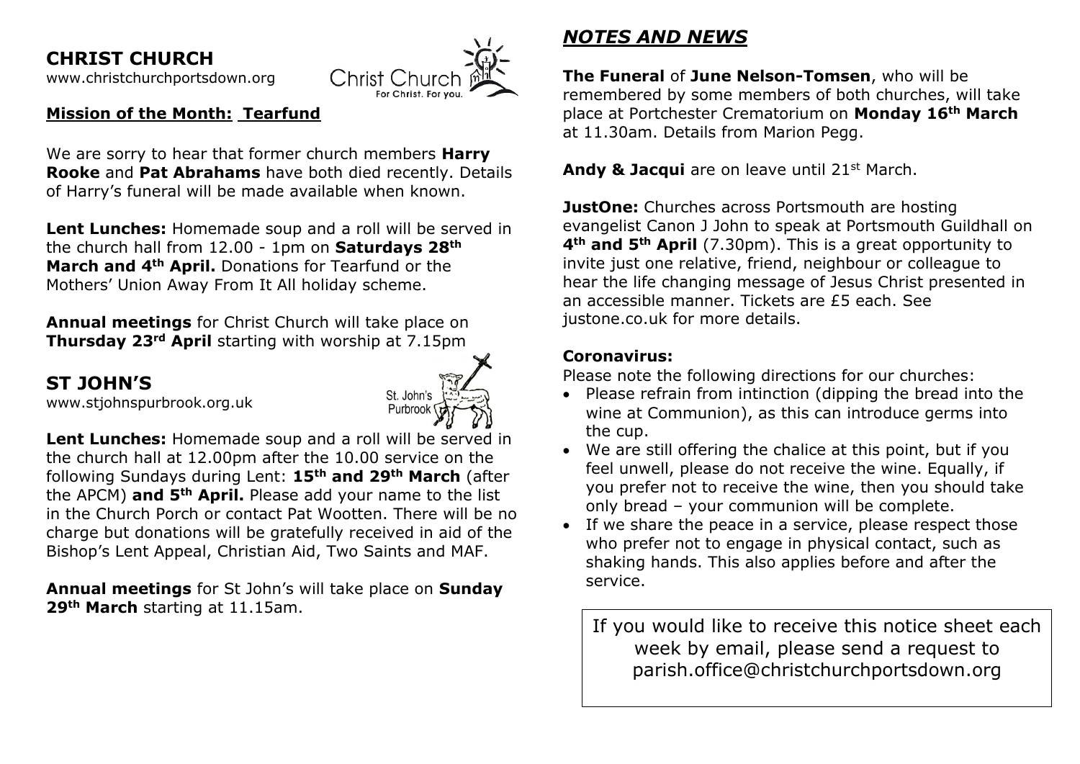**CHRIST CHURCH** 

[www.christchurchportsdown.org](http://www.christchurchportsdown.org/) 



## **Mission of the Month: Tearfund**

We are sorry to hear that former church members **Harry Rooke** and **Pat Abrahams** have both died recently. Details of Harry's funeral will be made available when known.

**Lent Lunches:** Homemade soup and a roll will be served in the church hall from 12.00 - 1pm on **Saturdays 28th March and 4th April.** Donations for Tearfund or the Mothers' Union Away From It All holiday scheme.

**Annual meetings** for Christ Church will take place on **Thursday 23rd April** starting with worship at 7.15pm

# **ST JOHN'S**

[www.stjohnspurbrook.org.uk](http://www.stjohnspurbrook.org.uk/)



**Lent Lunches:** Homemade soup and a roll will be served in the church hall at 12.00pm after the 10.00 service on the following Sundays during Lent: **15th and 29th March** (after the APCM) **and 5th April.** Please add your name to the list in the Church Porch or contact Pat Wootten. There will be no charge but donations will be gratefully received in aid of the Bishop's Lent Appeal, Christian Aid, Two Saints and MAF.

**Annual meetings** for St John's will take place on **Sunday 29th March** starting at 11.15am.

# *NOTES AND NEWS*

**The Funeral** of **June Nelson-Tomsen**, who will be remembered by some members of both churches, will take place at Portchester Crematorium on **Monday 16th March** at 11.30am. Details from Marion Pegg.

**Andy & Jacqui** are on leave until 21st March.

**JustOne:** Churches across Portsmouth are hosting evangelist Canon J John to speak at Portsmouth Guildhall on **4th and 5th April** (7.30pm). This is a great opportunity to invite just one relative, friend, neighbour or colleague to hear the life changing message of Jesus Christ presented in an accessible manner. Tickets are £5 each. See justone.co.uk for more details.

## **Coronavirus:**

Please note the following directions for our churches:

- Please refrain from intinction (dipping the bread into the wine at Communion), as this can introduce germs into the cup.
- We are still offering the chalice at this point, but if you feel unwell, please do not receive the wine. Equally, if you prefer not to receive the wine, then you should take only bread – your communion will be complete.
- If we share the peace in a service, please respect those who prefer not to engage in physical contact, such as shaking hands. This also applies before and after the service.

If you would like to receive this notice sheet each week by email, please send a request to parish.office@christchurchportsdown.org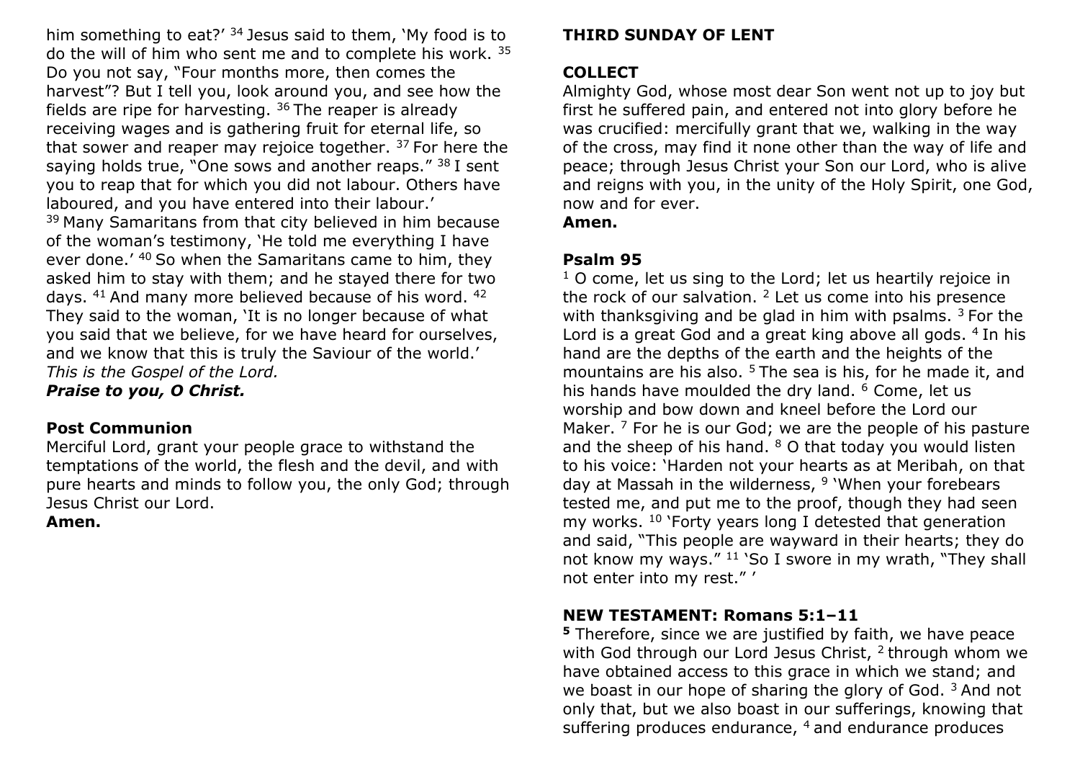him something to eat?' <sup>34</sup> Jesus said to them, 'My food is to do the will of him who sent me and to complete his work. <sup>35</sup> Do you not say, "Four months more, then comes the harvest"? But I tell you, look around you, and see how the fields are ripe for harvesting.  $36$  The reaper is already receiving wages and is gathering fruit for eternal life, so that sower and reaper may rejoice together.  $37$  For here the saying holds true, "One sows and another reaps."  $38$  I sent you to reap that for which you did not labour. Others have laboured, and you have entered into their labour.' <sup>39</sup> Many Samaritans from that city believed in him because of the woman's testimony, 'He told me everything I have ever done.'  $40$  So when the Samaritans came to him, they asked him to stay with them; and he stayed there for two days.  $41$  And many more believed because of his word.  $42$ They said to the woman, 'It is no longer because of what you said that we believe, for we have heard for ourselves, and we know that this is truly the Saviour of the world.' *This is the Gospel of the Lord.*

*Praise to you, O Christ.*

### **Post Communion**

Merciful Lord, grant your people grace to withstand the temptations of the world, the flesh and the devil, and with pure hearts and minds to follow you, the only God; through Jesus Christ our Lord.

### **Amen.**

### **THIRD SUNDAY OF LENT**

## **COLLECT**

Almighty God, whose most dear Son went not up to joy but first he suffered pain, and entered not into glory before he was crucified: mercifully grant that we, walking in the way of the cross, may find it none other than the way of life and peace; through Jesus Christ your Son our Lord, who is alive and reigns with you, in the unity of the Holy Spirit, one God, now and for ever.

**Amen.**

## **Psalm 95**

 $1$  O come, let us sing to the Lord; let us heartily rejoice in the rock of our salvation.  $2$  Let us come into his presence with thanksgiving and be glad in him with psalms.  $3$  For the Lord is a great God and a great king above all gods. <sup>4</sup> In his hand are the depths of the earth and the heights of the mountains are his also.  $5$  The sea is his, for he made it, and his hands have moulded the dry land. <sup>6</sup> Come, let us worship and bow down and kneel before the Lord our Maker. <sup>7</sup> For he is our God; we are the people of his pasture and the sheep of his hand. <sup>8</sup> O that today you would listen to his voice: 'Harden not your hearts as at Meribah, on that day at Massah in the wilderness, <sup>9</sup> 'When your forebears tested me, and put me to the proof, though they had seen my works. <sup>10</sup> 'Forty years long I detested that generation and said, "This people are wayward in their hearts; they do not know my ways." <sup>11</sup> 'So I swore in my wrath, "They shall not enter into my rest." '

## **NEW TESTAMENT: Romans 5:1–11**

**<sup>5</sup>** Therefore, since we are justified by faith, we have peace with God through our Lord Jesus Christ, <sup>2</sup> through whom we have obtained access to this grace in which we stand; and we boast in our hope of sharing the glory of God.<sup>3</sup> And not only that, but we also boast in our sufferings, knowing that suffering produces endurance, <sup>4</sup> and endurance produces